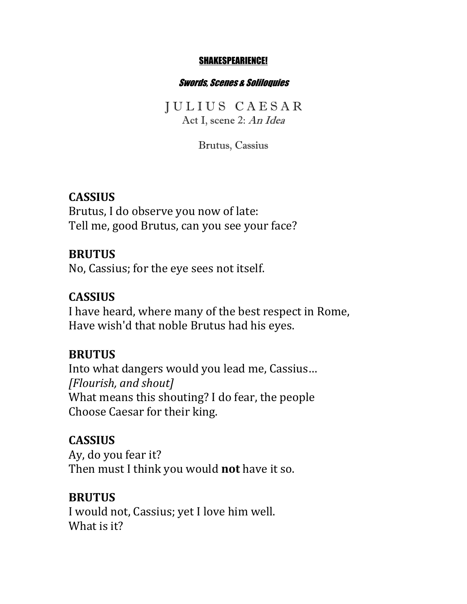#### SHAKESPEARIENCE!

#### Swords, Scenes & Soliloquies

J U L I U S C A E S A R Act I, scene 2: An Idea

Brutus, Cassius

#### **CASSIUS**

Brutus, I do observe you now of late: Tell me, good Brutus, can you see your face?

#### **BRUTUS**

No, Cassius; for the eye sees not itself.

## **CASSIUS**

I have heard, where many of the best respect in Rome, Have wish'd that noble Brutus had his eyes.

### **BRUTUS**

Into what dangers would you lead me, Cassius... *[Flourish, and shout]* What means this shouting? I do fear, the people Choose Caesar for their king.

#### **CASSIUS**

Ay, do you fear it? Then must I think you would **not** have it so.

#### **BRUTUS**

I would not, Cassius; yet I love him well. What is it?